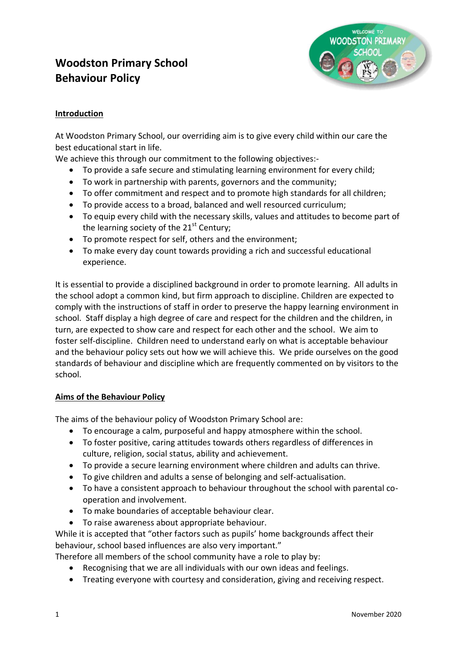# **Woodston Primary School Behaviour Policy**



# **Introduction**

At Woodston Primary School, our overriding aim is to give every child within our care the best educational start in life.

We achieve this through our commitment to the following objectives:-

- To provide a safe secure and stimulating learning environment for every child;
- To work in partnership with parents, governors and the community;
- To offer commitment and respect and to promote high standards for all children;
- To provide access to a broad, balanced and well resourced curriculum;
- To equip every child with the necessary skills, values and attitudes to become part of the learning society of the  $21<sup>st</sup>$  Century;
- To promote respect for self, others and the environment;
- To make every day count towards providing a rich and successful educational experience.

It is essential to provide a disciplined background in order to promote learning. All adults in the school adopt a common kind, but firm approach to discipline. Children are expected to comply with the instructions of staff in order to preserve the happy learning environment in school. Staff display a high degree of care and respect for the children and the children, in turn, are expected to show care and respect for each other and the school. We aim to foster self-discipline. Children need to understand early on what is acceptable behaviour and the behaviour policy sets out how we will achieve this. We pride ourselves on the good standards of behaviour and discipline which are frequently commented on by visitors to the school.

# **Aims of the Behaviour Policy**

The aims of the behaviour policy of Woodston Primary School are:

- To encourage a calm, purposeful and happy atmosphere within the school.
- To foster positive, caring attitudes towards others regardless of differences in culture, religion, social status, ability and achievement.
- To provide a secure learning environment where children and adults can thrive.
- To give children and adults a sense of belonging and self-actualisation.
- To have a consistent approach to behaviour throughout the school with parental cooperation and involvement.
- To make boundaries of acceptable behaviour clear.
- To raise awareness about appropriate behaviour.

While it is accepted that "other factors such as pupils' home backgrounds affect their behaviour, school based influences are also very important."

Therefore all members of the school community have a role to play by:

- Recognising that we are all individuals with our own ideas and feelings.
- Treating everyone with courtesy and consideration, giving and receiving respect.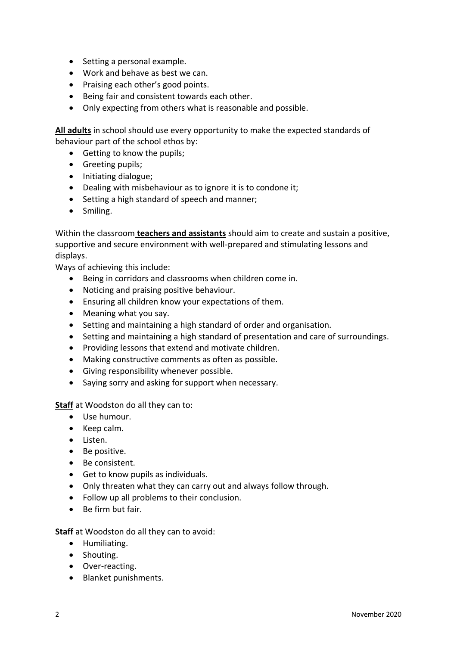- Setting a personal example.
- Work and behave as best we can.
- Praising each other's good points.
- Being fair and consistent towards each other.
- Only expecting from others what is reasonable and possible.

**All adults** in school should use every opportunity to make the expected standards of behaviour part of the school ethos by:

- Getting to know the pupils;
- Greeting pupils;
- Initiating dialogue;
- Dealing with misbehaviour as to ignore it is to condone it;
- Setting a high standard of speech and manner;
- Smiling.

Within the classroom **teachers and assistants** should aim to create and sustain a positive, supportive and secure environment with well-prepared and stimulating lessons and displays.

Ways of achieving this include:

- Being in corridors and classrooms when children come in.
- Noticing and praising positive behaviour.
- Ensuring all children know your expectations of them.
- Meaning what you say.
- Setting and maintaining a high standard of order and organisation.
- Setting and maintaining a high standard of presentation and care of surroundings.
- Providing lessons that extend and motivate children.
- Making constructive comments as often as possible.
- Giving responsibility whenever possible.
- Saying sorry and asking for support when necessary.

**Staff** at Woodston do all they can to:

- Use humour.
- Keep calm.
- Listen.
- Be positive.
- Be consistent.
- Get to know pupils as individuals.
- Only threaten what they can carry out and always follow through.
- Follow up all problems to their conclusion.
- Be firm but fair.

**Staff** at Woodston do all they can to avoid:

- Humiliating.
- Shouting.
- Over-reacting.
- Blanket punishments.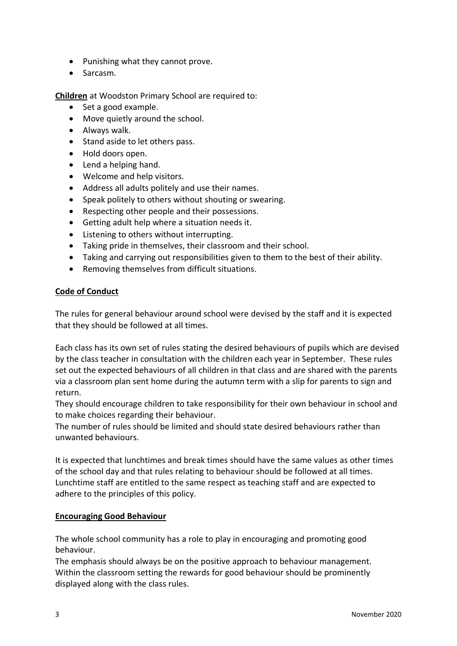- Punishing what they cannot prove.
- Sarcasm.

**Children** at Woodston Primary School are required to:

- Set a good example.
- Move quietly around the school.
- Always walk.
- Stand aside to let others pass.
- Hold doors open.
- Lend a helping hand.
- Welcome and help visitors.
- Address all adults politely and use their names.
- Speak politely to others without shouting or swearing.
- Respecting other people and their possessions.
- Getting adult help where a situation needs it.
- Listening to others without interrupting.
- Taking pride in themselves, their classroom and their school.
- Taking and carrying out responsibilities given to them to the best of their ability.
- Removing themselves from difficult situations.

# **Code of Conduct**

The rules for general behaviour around school were devised by the staff and it is expected that they should be followed at all times.

Each class has its own set of rules stating the desired behaviours of pupils which are devised by the class teacher in consultation with the children each year in September. These rules set out the expected behaviours of all children in that class and are shared with the parents via a classroom plan sent home during the autumn term with a slip for parents to sign and return.

They should encourage children to take responsibility for their own behaviour in school and to make choices regarding their behaviour.

The number of rules should be limited and should state desired behaviours rather than unwanted behaviours.

It is expected that lunchtimes and break times should have the same values as other times of the school day and that rules relating to behaviour should be followed at all times. Lunchtime staff are entitled to the same respect as teaching staff and are expected to adhere to the principles of this policy.

# **Encouraging Good Behaviour**

The whole school community has a role to play in encouraging and promoting good behaviour.

The emphasis should always be on the positive approach to behaviour management. Within the classroom setting the rewards for good behaviour should be prominently displayed along with the class rules.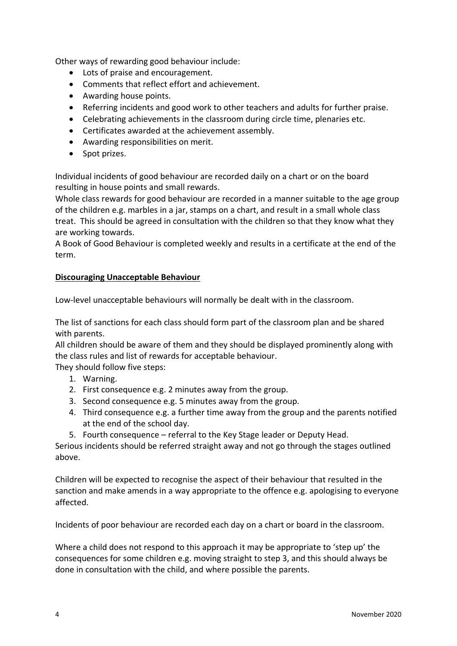Other ways of rewarding good behaviour include:

- Lots of praise and encouragement.
- Comments that reflect effort and achievement.
- Awarding house points.
- Referring incidents and good work to other teachers and adults for further praise.
- Celebrating achievements in the classroom during circle time, plenaries etc.
- Certificates awarded at the achievement assembly.
- Awarding responsibilities on merit.
- Spot prizes.

Individual incidents of good behaviour are recorded daily on a chart or on the board resulting in house points and small rewards.

Whole class rewards for good behaviour are recorded in a manner suitable to the age group of the children e.g. marbles in a jar, stamps on a chart, and result in a small whole class treat. This should be agreed in consultation with the children so that they know what they are working towards.

A Book of Good Behaviour is completed weekly and results in a certificate at the end of the term.

### **Discouraging Unacceptable Behaviour**

Low-level unacceptable behaviours will normally be dealt with in the classroom.

The list of sanctions for each class should form part of the classroom plan and be shared with parents.

All children should be aware of them and they should be displayed prominently along with the class rules and list of rewards for acceptable behaviour.

They should follow five steps:

- 1. Warning.
- 2. First consequence e.g. 2 minutes away from the group.
- 3. Second consequence e.g. 5 minutes away from the group.
- 4. Third consequence e.g. a further time away from the group and the parents notified at the end of the school day.
- 5. Fourth consequence referral to the Key Stage leader or Deputy Head.

Serious incidents should be referred straight away and not go through the stages outlined above.

Children will be expected to recognise the aspect of their behaviour that resulted in the sanction and make amends in a way appropriate to the offence e.g. apologising to everyone affected.

Incidents of poor behaviour are recorded each day on a chart or board in the classroom.

Where a child does not respond to this approach it may be appropriate to 'step up' the consequences for some children e.g. moving straight to step 3, and this should always be done in consultation with the child, and where possible the parents.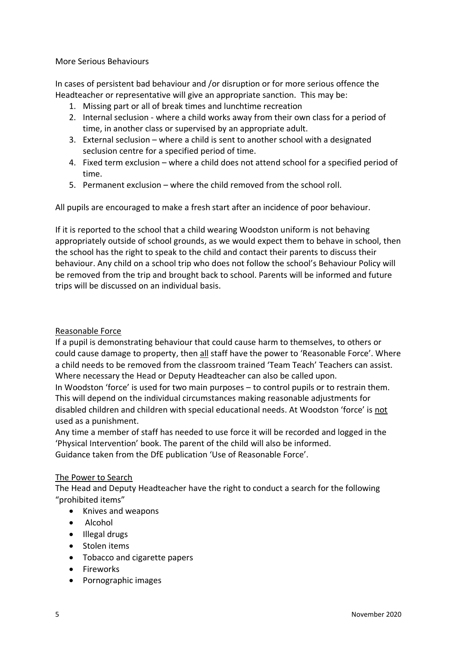#### More Serious Behaviours

In cases of persistent bad behaviour and /or disruption or for more serious offence the Headteacher or representative will give an appropriate sanction. This may be:

- 1. Missing part or all of break times and lunchtime recreation
- 2. Internal seclusion where a child works away from their own class for a period of time, in another class or supervised by an appropriate adult.
- 3. External seclusion where a child is sent to another school with a designated seclusion centre for a specified period of time.
- 4. Fixed term exclusion where a child does not attend school for a specified period of time.
- 5. Permanent exclusion where the child removed from the school roll.

All pupils are encouraged to make a fresh start after an incidence of poor behaviour.

If it is reported to the school that a child wearing Woodston uniform is not behaving appropriately outside of school grounds, as we would expect them to behave in school, then the school has the right to speak to the child and contact their parents to discuss their behaviour. Any child on a school trip who does not follow the school's Behaviour Policy will be removed from the trip and brought back to school. Parents will be informed and future trips will be discussed on an individual basis.

# Reasonable Force

If a pupil is demonstrating behaviour that could cause harm to themselves, to others or could cause damage to property, then all staff have the power to 'Reasonable Force'. Where a child needs to be removed from the classroom trained 'Team Teach' Teachers can assist. Where necessary the Head or Deputy Headteacher can also be called upon.

In Woodston 'force' is used for two main purposes – to control pupils or to restrain them. This will depend on the individual circumstances making reasonable adjustments for disabled children and children with special educational needs. At Woodston 'force' is not used as a punishment.

Any time a member of staff has needed to use force it will be recorded and logged in the 'Physical Intervention' book. The parent of the child will also be informed. Guidance taken from the DfE publication 'Use of Reasonable Force'.

#### The Power to Search

The Head and Deputy Headteacher have the right to conduct a search for the following "prohibited items"

- Knives and weapons
- Alcohol
- Illegal drugs
- Stolen items
- Tobacco and cigarette papers
- Fireworks
- Pornographic images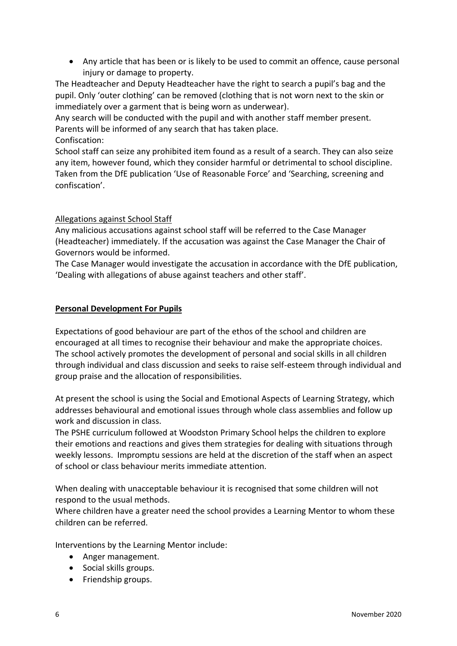• Any article that has been or is likely to be used to commit an offence, cause personal injury or damage to property.

The Headteacher and Deputy Headteacher have the right to search a pupil's bag and the pupil. Only 'outer clothing' can be removed (clothing that is not worn next to the skin or immediately over a garment that is being worn as underwear).

Any search will be conducted with the pupil and with another staff member present. Parents will be informed of any search that has taken place.

# Confiscation:

School staff can seize any prohibited item found as a result of a search. They can also seize any item, however found, which they consider harmful or detrimental to school discipline. Taken from the DfE publication 'Use of Reasonable Force' and 'Searching, screening and confiscation'.

# Allegations against School Staff

Any malicious accusations against school staff will be referred to the Case Manager (Headteacher) immediately. If the accusation was against the Case Manager the Chair of Governors would be informed.

The Case Manager would investigate the accusation in accordance with the DfE publication, 'Dealing with allegations of abuse against teachers and other staff'.

# **Personal Development For Pupils**

Expectations of good behaviour are part of the ethos of the school and children are encouraged at all times to recognise their behaviour and make the appropriate choices. The school actively promotes the development of personal and social skills in all children through individual and class discussion and seeks to raise self-esteem through individual and group praise and the allocation of responsibilities.

At present the school is using the Social and Emotional Aspects of Learning Strategy, which addresses behavioural and emotional issues through whole class assemblies and follow up work and discussion in class.

The PSHE curriculum followed at Woodston Primary School helps the children to explore their emotions and reactions and gives them strategies for dealing with situations through weekly lessons. Impromptu sessions are held at the discretion of the staff when an aspect of school or class behaviour merits immediate attention.

When dealing with unacceptable behaviour it is recognised that some children will not respond to the usual methods.

Where children have a greater need the school provides a Learning Mentor to whom these children can be referred.

Interventions by the Learning Mentor include:

- Anger management.
- Social skills groups.
- Friendship groups.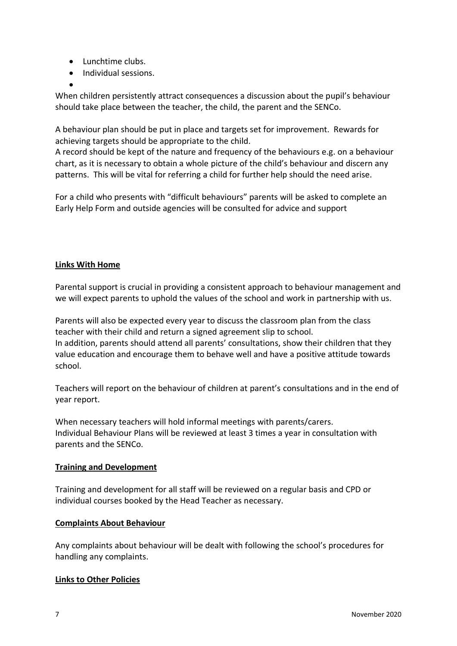- Lunchtime clubs.
- Individual sessions.
- •

When children persistently attract consequences a discussion about the pupil's behaviour should take place between the teacher, the child, the parent and the SENCo.

A behaviour plan should be put in place and targets set for improvement. Rewards for achieving targets should be appropriate to the child.

A record should be kept of the nature and frequency of the behaviours e.g. on a behaviour chart, as it is necessary to obtain a whole picture of the child's behaviour and discern any patterns. This will be vital for referring a child for further help should the need arise.

For a child who presents with "difficult behaviours" parents will be asked to complete an Early Help Form and outside agencies will be consulted for advice and support

# **Links With Home**

Parental support is crucial in providing a consistent approach to behaviour management and we will expect parents to uphold the values of the school and work in partnership with us.

Parents will also be expected every year to discuss the classroom plan from the class teacher with their child and return a signed agreement slip to school. In addition, parents should attend all parents' consultations, show their children that they value education and encourage them to behave well and have a positive attitude towards school.

Teachers will report on the behaviour of children at parent's consultations and in the end of year report.

When necessary teachers will hold informal meetings with parents/carers. Individual Behaviour Plans will be reviewed at least 3 times a year in consultation with parents and the SENCo.

# **Training and Development**

Training and development for all staff will be reviewed on a regular basis and CPD or individual courses booked by the Head Teacher as necessary.

# **Complaints About Behaviour**

Any complaints about behaviour will be dealt with following the school's procedures for handling any complaints.

#### **Links to Other Policies**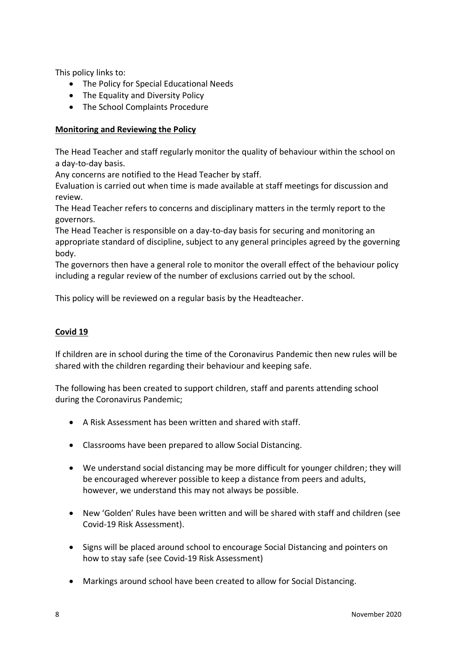This policy links to:

- The Policy for Special Educational Needs
- The Equality and Diversity Policy
- The School Complaints Procedure

# **Monitoring and Reviewing the Policy**

The Head Teacher and staff regularly monitor the quality of behaviour within the school on a day-to-day basis.

Any concerns are notified to the Head Teacher by staff.

Evaluation is carried out when time is made available at staff meetings for discussion and review.

The Head Teacher refers to concerns and disciplinary matters in the termly report to the governors.

The Head Teacher is responsible on a day-to-day basis for securing and monitoring an appropriate standard of discipline, subject to any general principles agreed by the governing body.

The governors then have a general role to monitor the overall effect of the behaviour policy including a regular review of the number of exclusions carried out by the school.

This policy will be reviewed on a regular basis by the Headteacher.

# **Covid 19**

If children are in school during the time of the Coronavirus Pandemic then new rules will be shared with the children regarding their behaviour and keeping safe.

The following has been created to support children, staff and parents attending school during the Coronavirus Pandemic;

- A Risk Assessment has been written and shared with staff.
- Classrooms have been prepared to allow Social Distancing.
- We understand social distancing may be more difficult for younger children; they will be encouraged wherever possible to keep a distance from peers and adults, however, we understand this may not always be possible.
- New 'Golden' Rules have been written and will be shared with staff and children (see Covid-19 Risk Assessment).
- Signs will be placed around school to encourage Social Distancing and pointers on how to stay safe (see Covid-19 Risk Assessment)
- Markings around school have been created to allow for Social Distancing.